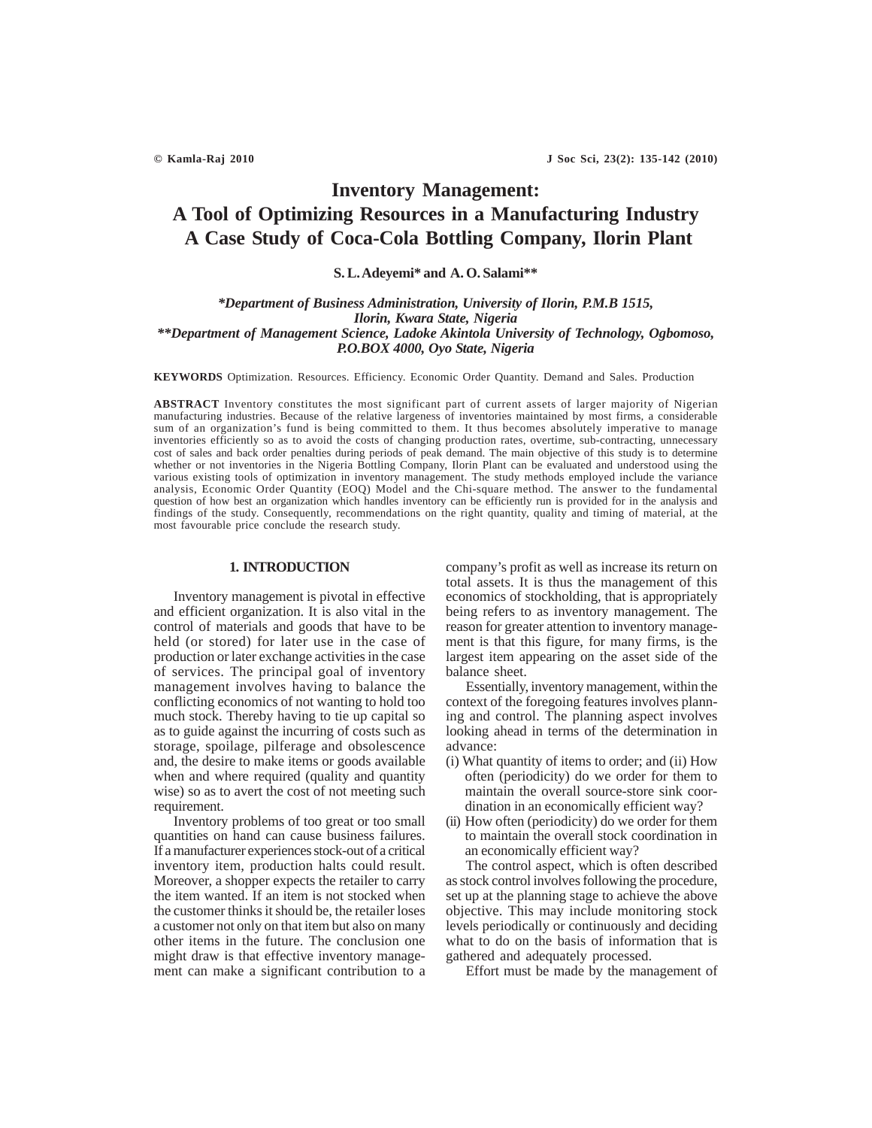# **Inventory Management: A Tool of Optimizing Resources in a Manufacturing Industry A Case Study of Coca-Cola Bottling Company, Ilorin Plant**

## **S. L. Adeyemi\* and A. O. Salami\*\***

## *\*Department of Business Administration, University of Ilorin, P.M.B 1515, Ilorin, Kwara State, Nigeria \*\*Department of Management Science, Ladoke Akintola University of Technology, Ogbomoso, P.O.BOX 4000, Oyo State, Nigeria*

**KEYWORDS** Optimization. Resources. Efficiency. Economic Order Quantity. Demand and Sales. Production

**ABSTRACT** Inventory constitutes the most significant part of current assets of larger majority of Nigerian manufacturing industries. Because of the relative largeness of inventories maintained by most firms, a considerable sum of an organization's fund is being committed to them. It thus becomes absolutely imperative to manage inventories efficiently so as to avoid the costs of changing production rates, overtime, sub-contracting, unnecessary cost of sales and back order penalties during periods of peak demand. The main objective of this study is to determine whether or not inventories in the Nigeria Bottling Company, Ilorin Plant can be evaluated and understood using the various existing tools of optimization in inventory management. The study methods employed include the variance analysis, Economic Order Quantity (EOQ) Model and the Chi-square method. The answer to the fundamental question of how best an organization which handles inventory can be efficiently run is provided for in the analysis and findings of the study. Consequently, recommendations on the right quantity, quality and timing of material, at the most favourable price conclude the research study.

### **1. INTRODUCTION**

Inventory management is pivotal in effective and efficient organization. It is also vital in the control of materials and goods that have to be held (or stored) for later use in the case of production or later exchange activities in the case of services. The principal goal of inventory management involves having to balance the conflicting economics of not wanting to hold too much stock. Thereby having to tie up capital so as to guide against the incurring of costs such as storage, spoilage, pilferage and obsolescence and, the desire to make items or goods available when and where required (quality and quantity wise) so as to avert the cost of not meeting such requirement.

Inventory problems of too great or too small quantities on hand can cause business failures. If a manufacturer experiences stock-out of a critical inventory item, production halts could result. Moreover, a shopper expects the retailer to carry the item wanted. If an item is not stocked when the customer thinks it should be, the retailer loses a customer not only on that item but also on many other items in the future. The conclusion one might draw is that effective inventory management can make a significant contribution to a company's profit as well as increase its return on total assets. It is thus the management of this economics of stockholding, that is appropriately being refers to as inventory management. The reason for greater attention to inventory management is that this figure, for many firms, is the largest item appearing on the asset side of the balance sheet.

Essentially, inventory management, within the context of the foregoing features involves planning and control. The planning aspect involves looking ahead in terms of the determination in advance:

- (i) What quantity of items to order; and (ii) How often (periodicity) do we order for them to maintain the overall source-store sink coordination in an economically efficient way?
- (ii) How often (periodicity) do we order for them to maintain the overall stock coordination in an economically efficient way?

The control aspect, which is often described as stock control involves following the procedure, set up at the planning stage to achieve the above objective. This may include monitoring stock levels periodically or continuously and deciding what to do on the basis of information that is gathered and adequately processed.

Effort must be made by the management of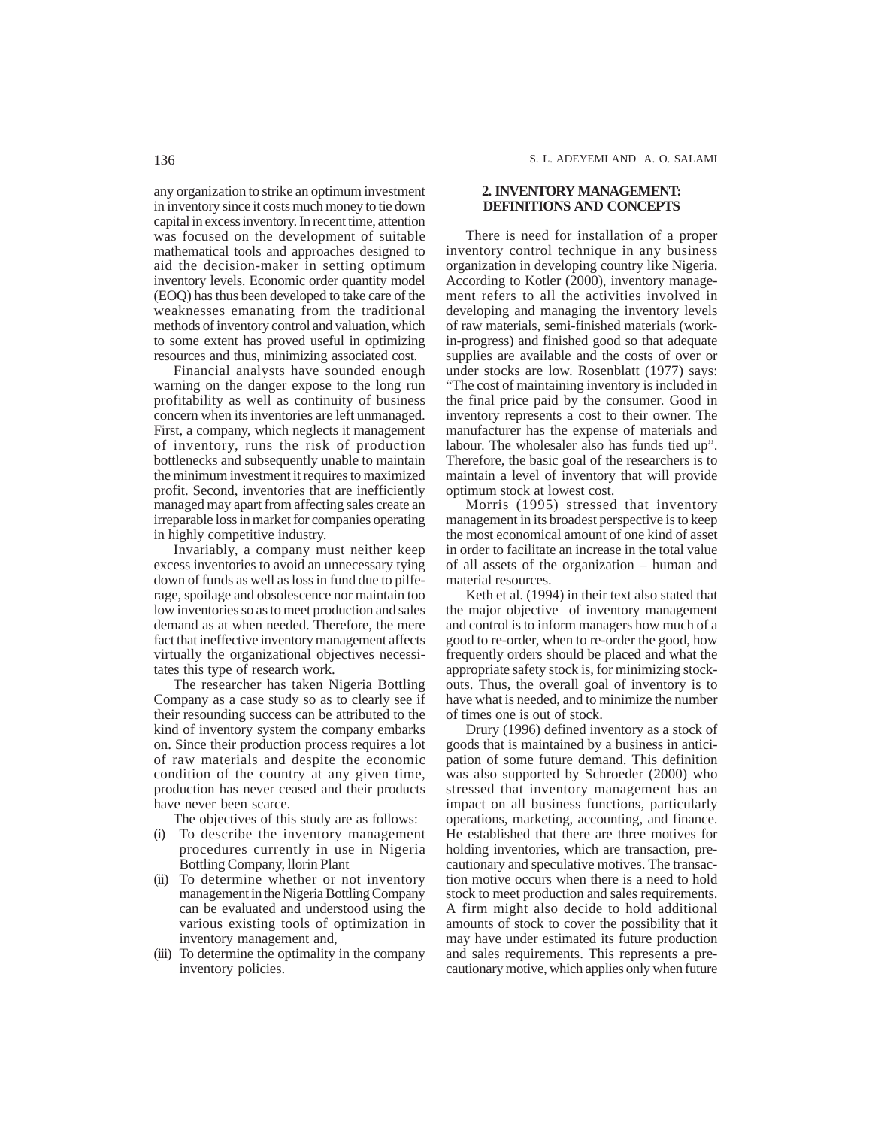any organization to strike an optimum investment in inventory since it costs much money to tie down capital in excess inventory. In recent time, attention was focused on the development of suitable mathematical tools and approaches designed to aid the decision-maker in setting optimum inventory levels. Economic order quantity model (EOQ) has thus been developed to take care of the weaknesses emanating from the traditional methods of inventory control and valuation, which to some extent has proved useful in optimizing resources and thus, minimizing associated cost.

Financial analysts have sounded enough warning on the danger expose to the long run profitability as well as continuity of business concern when its inventories are left unmanaged. First, a company, which neglects it management of inventory, runs the risk of production bottlenecks and subsequently unable to maintain the minimum investment it requires to maximized profit. Second, inventories that are inefficiently managed may apart from affecting sales create an irreparable loss in market for companies operating in highly competitive industry.

Invariably, a company must neither keep excess inventories to avoid an unnecessary tying down of funds as well as loss in fund due to pilferage, spoilage and obsolescence nor maintain too low inventories so as to meet production and sales demand as at when needed. Therefore, the mere fact that ineffective inventory management affects virtually the organizational objectives necessitates this type of research work.

The researcher has taken Nigeria Bottling Company as a case study so as to clearly see if their resounding success can be attributed to the kind of inventory system the company embarks on. Since their production process requires a lot of raw materials and despite the economic condition of the country at any given time, production has never ceased and their products have never been scarce.

The objectives of this study are as follows:

- (i) To describe the inventory management procedures currently in use in Nigeria Bottling Company, llorin Plant
- (ii) To determine whether or not inventory management in the Nigeria Bottling Company can be evaluated and understood using the various existing tools of optimization in inventory management and,
- (iii) To determine the optimality in the company inventory policies.

### **2. INVENTORY MANAGEMENT: DEFINITIONS AND CONCEPTS**

There is need for installation of a proper inventory control technique in any business organization in developing country like Nigeria. According to Kotler (2000), inventory management refers to all the activities involved in developing and managing the inventory levels of raw materials, semi-finished materials (workin-progress) and finished good so that adequate supplies are available and the costs of over or under stocks are low. Rosenblatt (1977) says: "The cost of maintaining inventory is included in the final price paid by the consumer. Good in inventory represents a cost to their owner. The manufacturer has the expense of materials and labour. The wholesaler also has funds tied up". Therefore, the basic goal of the researchers is to maintain a level of inventory that will provide optimum stock at lowest cost.

Morris (1995) stressed that inventory management in its broadest perspective is to keep the most economical amount of one kind of asset in order to facilitate an increase in the total value of all assets of the organization – human and material resources.

Keth et al. (1994) in their text also stated that the major objective of inventory management and control is to inform managers how much of a good to re-order, when to re-order the good, how frequently orders should be placed and what the appropriate safety stock is, for minimizing stockouts. Thus, the overall goal of inventory is to have what is needed, and to minimize the number of times one is out of stock.

Drury (1996) defined inventory as a stock of goods that is maintained by a business in anticipation of some future demand. This definition was also supported by Schroeder (2000) who stressed that inventory management has an impact on all business functions, particularly operations, marketing, accounting, and finance. He established that there are three motives for holding inventories, which are transaction, precautionary and speculative motives. The transaction motive occurs when there is a need to hold stock to meet production and sales requirements. A firm might also decide to hold additional amounts of stock to cover the possibility that it may have under estimated its future production and sales requirements. This represents a precautionary motive, which applies only when future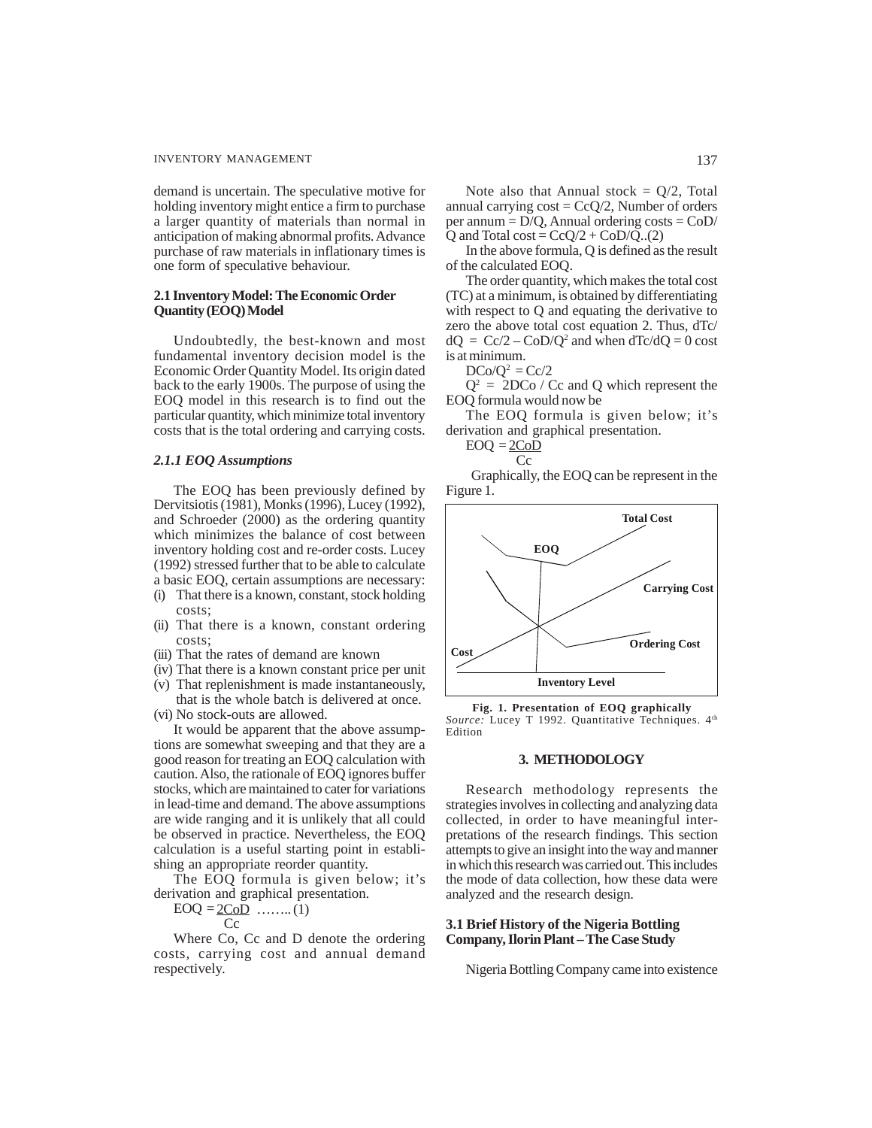#### INVENTORY MANAGEMENT 137

demand is uncertain. The speculative motive for holding inventory might entice a firm to purchase a larger quantity of materials than normal in anticipation of making abnormal profits. Advance purchase of raw materials in inflationary times is one form of speculative behaviour.

## **2.1 Inventory Model: The Economic Order Quantity (EOQ) Model**

Undoubtedly, the best-known and most fundamental inventory decision model is the Economic Order Quantity Model. Its origin dated back to the early 1900s. The purpose of using the EOQ model in this research is to find out the particular quantity, which minimize total inventory costs that is the total ordering and carrying costs.

## *2.1.1 EOQ Assumptions*

The EOQ has been previously defined by Dervitsiotis (1981), Monks (1996), Lucey (1992), and Schroeder (2000) as the ordering quantity which minimizes the balance of cost between inventory holding cost and re-order costs. Lucey (1992) stressed further that to be able to calculate a basic EOQ, certain assumptions are necessary:

- (i) That there is a known, constant, stock holding costs;
- (ii) That there is a known, constant ordering costs;
- (iii) That the rates of demand are known
- (iv) That there is a known constant price per unit
- (v) That replenishment is made instantaneously, that is the whole batch is delivered at once.
- (vi) No stock-outs are allowed.

It would be apparent that the above assumptions are somewhat sweeping and that they are a good reason for treating an EOQ calculation with caution. Also, the rationale of EOQ ignores buffer stocks, which are maintained to cater for variations in lead-time and demand. The above assumptions are wide ranging and it is unlikely that all could be observed in practice. Nevertheless, the EOQ calculation is a useful starting point in establishing an appropriate reorder quantity.

The EOQ formula is given below; it's derivation and graphical presentation.

$$
EOQ = \underline{2CoD} \quad ....... (1)
$$

Where Co, Cc and D denote the ordering costs, carrying cost and annual demand respectively.

Note also that Annual stock  $= Q/2$ , Total annual carrying  $cost = \frac{C_0}{2}$ , Number of orders per annum  $= D/O$ , Annual ordering costs  $= CoD/$ Q and Total cost =  $CcQ/2$  +  $CoD/Q.(2)$ 

In the above formula, Q is defined as the result of the calculated EOQ.

The order quantity, which makes the total cost (TC) at a minimum, is obtained by differentiating with respect to Q and equating the derivative to zero the above total cost equation 2. Thus, dTc/  $dQ = Cc/2 - CoD/Q^2$  and when  $dTc/dQ = 0$  cost is at minimum.

 $DCo/Q^2 = Cc/2$ 

 $Q^2 = 2DCo / Cc$  and Q which represent the EOQ formula would now be

The EOQ formula is given below; it's derivation and graphical presentation.

$$
EOQ = \frac{2Co\overline{D}}{Cc}
$$

 Graphically, the EOQ can be represent in the Figure 1.



**Fig. 1. Presentation of EOQ graphically** Source: Lucey T 1992. Quantitative Techniques. 4<sup>th</sup> Edition

#### **3. METHODOLOGY**

Research methodology represents the strategies involves in collecting and analyzing data collected, in order to have meaningful interpretations of the research findings. This section attempts to give an insight into the way and manner in which this research was carried out. This includes the mode of data collection, how these data were analyzed and the research design.

## **3.1 Brief History of the Nigeria Bottling Company, Ilorin Plant – The Case Study**

Nigeria Bottling Company came into existence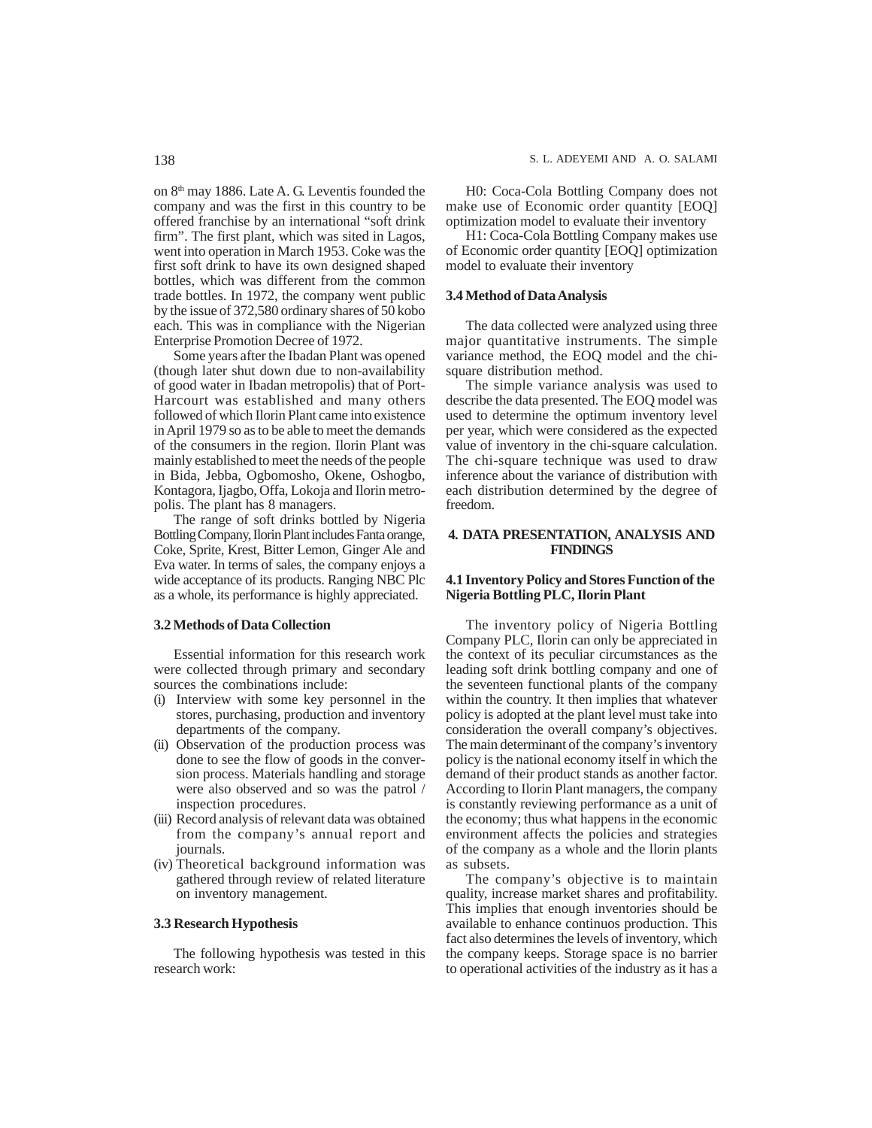company and was the first in this country to be offered franchise by an international "soft drink firm". The first plant, which was sited in Lagos, went into operation in March 1953. Coke was the first soft drink to have its own designed shaped bottles, which was different from the common trade bottles. In 1972, the company went public by the issue of 372,580 ordinary shares of 50 kobo each. This was in compliance with the Nigerian Enterprise Promotion Decree of 1972.

Some years after the Ibadan Plant was opened (though later shut down due to non-availability of good water in Ibadan metropolis) that of Port-Harcourt was established and many others followed of which Ilorin Plant came into existence in April 1979 so as to be able to meet the demands of the consumers in the region. Ilorin Plant was mainly established to meet the needs of the people in Bida, Jebba, Ogbomosho, Okene, Oshogbo, Kontagora, Ijagbo, Offa, Lokoja and Ilorin metropolis. The plant has 8 managers.

The range of soft drinks bottled by Nigeria Bottling Company, Ilorin Plant includes Fanta orange, Coke, Sprite, Krest, Bitter Lemon, Ginger Ale and Eva water. In terms of sales, the company enjoys a wide acceptance of its products. Ranging NBC Plc as a whole, its performance is highly appreciated.

## **3.2 Methods of Data Collection**

Essential information for this research work were collected through primary and secondary sources the combinations include:

- (i) Interview with some key personnel in the stores, purchasing, production and inventory departments of the company.
- (ii) Observation of the production process was done to see the flow of goods in the conversion process. Materials handling and storage were also observed and so was the patrol / inspection procedures.
- (iii) Record analysis of relevant data was obtained from the company's annual report and journals.
- (iv) Theoretical background information was gathered through review of related literature on inventory management.

## **3.3 Research Hypothesis**

The following hypothesis was tested in this research work:

H0: Coca-Cola Bottling Company does not make use of Economic order quantity [EOQ] optimization model to evaluate their inventory

H1: Coca-Cola Bottling Company makes use of Economic order quantity [EOQ] optimization model to evaluate their inventory

#### **3.4 Method of Data Analysis**

The data collected were analyzed using three major quantitative instruments. The simple variance method, the EOQ model and the chisquare distribution method.

The simple variance analysis was used to describe the data presented. The EOQ model was used to determine the optimum inventory level per year, which were considered as the expected value of inventory in the chi-square calculation. The chi-square technique was used to draw inference about the variance of distribution with each distribution determined by the degree of freedom.

## **4. DATA PRESENTATION, ANALYSIS AND FINDINGS**

## **4.1 Inventory Policy and Stores Function of the Nigeria Bottling PLC, Ilorin Plant**

The inventory policy of Nigeria Bottling Company PLC, Ilorin can only be appreciated in the context of its peculiar circumstances as the leading soft drink bottling company and one of the seventeen functional plants of the company within the country. It then implies that whatever policy is adopted at the plant level must take into consideration the overall company's objectives. The main determinant of the company's inventory policy is the national economy itself in which the demand of their product stands as another factor. According to Ilorin Plant managers, the company is constantly reviewing performance as a unit of the economy; thus what happens in the economic environment affects the policies and strategies of the company as a whole and the llorin plants as subsets.

The company's objective is to maintain quality, increase market shares and profitability. This implies that enough inventories should be available to enhance continuos production. This fact also determines the levels of inventory, which the company keeps. Storage space is no barrier to operational activities of the industry as it has a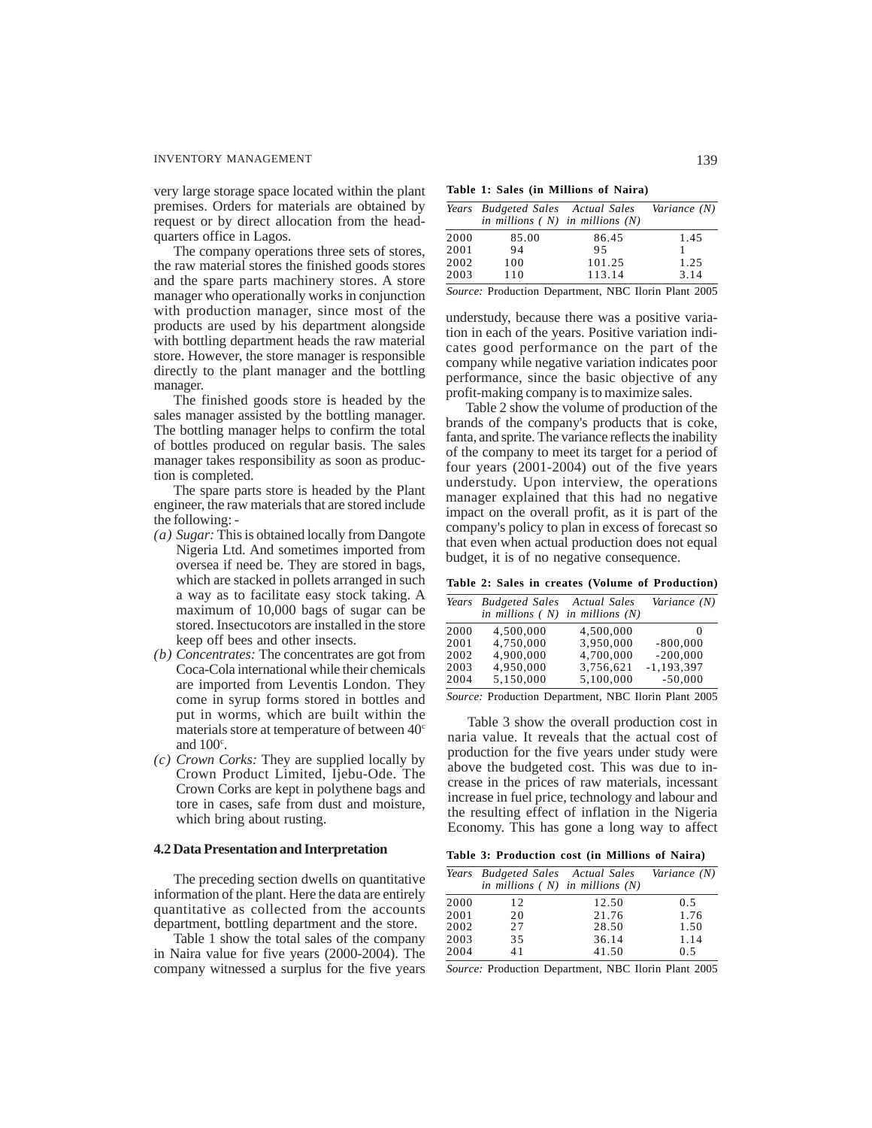very large storage space located within the plant premises. Orders for materials are obtained by request or by direct allocation from the headquarters office in Lagos.

The company operations three sets of stores, the raw material stores the finished goods stores and the spare parts machinery stores. A store manager who operationally works in conjunction with production manager, since most of the products are used by his department alongside with bottling department heads the raw material store. However, the store manager is responsible directly to the plant manager and the bottling manager.

The finished goods store is headed by the sales manager assisted by the bottling manager. The bottling manager helps to confirm the total of bottles produced on regular basis. The sales manager takes responsibility as soon as production is completed.

The spare parts store is headed by the Plant engineer, the raw materials that are stored include the following: -

- *(a) Sugar:* This is obtained locally from Dangote Nigeria Ltd. And sometimes imported from oversea if need be. They are stored in bags, which are stacked in pollets arranged in such a way as to facilitate easy stock taking. A maximum of 10,000 bags of sugar can be stored. Insectucotors are installed in the store keep off bees and other insects.
- *(b) Concentrates:* The concentrates are got from Coca-Cola international while their chemicals are imported from Leventis London. They come in syrup forms stored in bottles and put in worms, which are built within the materials store at temperature of between  $40^{\circ}$ and  $100^\circ$ .
- *(c) Crown Corks:* They are supplied locally by Crown Product Limited, Ijebu-Ode. The Crown Corks are kept in polythene bags and tore in cases, safe from dust and moisture, which bring about rusting.

#### **4.2 Data Presentation and Interpretation**

The preceding section dwells on quantitative information of the plant. Here the data are entirely quantitative as collected from the accounts department, bottling department and the store.

Table 1 show the total sales of the company in Naira value for five years (2000-2004). The company witnessed a surplus for the five years

|  | Table 1: Sales (in Millions of Naira) |  |  |
|--|---------------------------------------|--|--|
|--|---------------------------------------|--|--|

|      | Years Budgeted Sales Actual Sales<br>in millions $(N)$ in millions $(N)$ |        | Variance (N) |
|------|--------------------------------------------------------------------------|--------|--------------|
| 2000 | 85.00                                                                    | 86.45  | 1.45         |
| 2001 | 94                                                                       | 95     |              |
| 2002 | 100                                                                      | 101.25 | 1.25         |
| 2003 | 110                                                                      | 113.14 | 3.14         |

*Source:* Production Department, NBC Ilorin Plant 2005

understudy, because there was a positive variation in each of the years. Positive variation indicates good performance on the part of the company while negative variation indicates poor performance, since the basic objective of any profit-making company is to maximize sales.

Table 2 show the volume of production of the brands of the company's products that is coke, fanta, and sprite. The variance reflects the inability of the company to meet its target for a period of four years (2001-2004) out of the five years understudy. Upon interview, the operations manager explained that this had no negative impact on the overall profit, as it is part of the company's policy to plan in excess of forecast so that even when actual production does not equal budget, it is of no negative consequence.

|  | Table 2: Sales in creates (Volume of Production) |  |
|--|--------------------------------------------------|--|
|--|--------------------------------------------------|--|

|      | Years Budgeted Sales<br>in millions $(N)$ | <b>Actual Sales</b><br>in millions $(N)$ | Variance (N) |
|------|-------------------------------------------|------------------------------------------|--------------|
| 2000 | 4,500,000                                 | 4,500,000                                | $\Omega$     |
| 2001 | 4.750.000                                 | 3.950.000                                | $-800,000$   |
| 2002 | 4.900.000                                 | 4,700,000                                | $-200,000$   |
| 2003 | 4.950.000                                 | 3,756,621                                | $-1.193.397$ |
| 2004 | 5.150.000                                 | 5,100,000                                | $-50,000$    |
| --   |                                           |                                          |              |

*Source:* Production Department, NBC Ilorin Plant 2005

Table 3 show the overall production cost in naria value. It reveals that the actual cost of production for the five years under study were above the budgeted cost. This was due to increase in the prices of raw materials, incessant increase in fuel price, technology and labour and the resulting effect of inflation in the Nigeria Economy. This has gone a long way to affect

| Table 3: Production cost (in Millions of Naira) |  |  |  |  |  |
|-------------------------------------------------|--|--|--|--|--|
|-------------------------------------------------|--|--|--|--|--|

|      | Years Budgeted Sales Actual Sales<br>in millions $(N)$ in millions $(N)$ |       | Variance (N) |  |  |
|------|--------------------------------------------------------------------------|-------|--------------|--|--|
| 2000 | 12                                                                       | 12.50 | 0.5          |  |  |
| 2001 | 20                                                                       | 21.76 | 1.76         |  |  |
| 2002 | 27                                                                       | 28.50 | 1.50         |  |  |
| 2003 | 35                                                                       | 36.14 | 1.14         |  |  |
| 2004 | 41                                                                       | 41.50 | 0.5          |  |  |

*Source:* Production Department, NBC Ilorin Plant 2005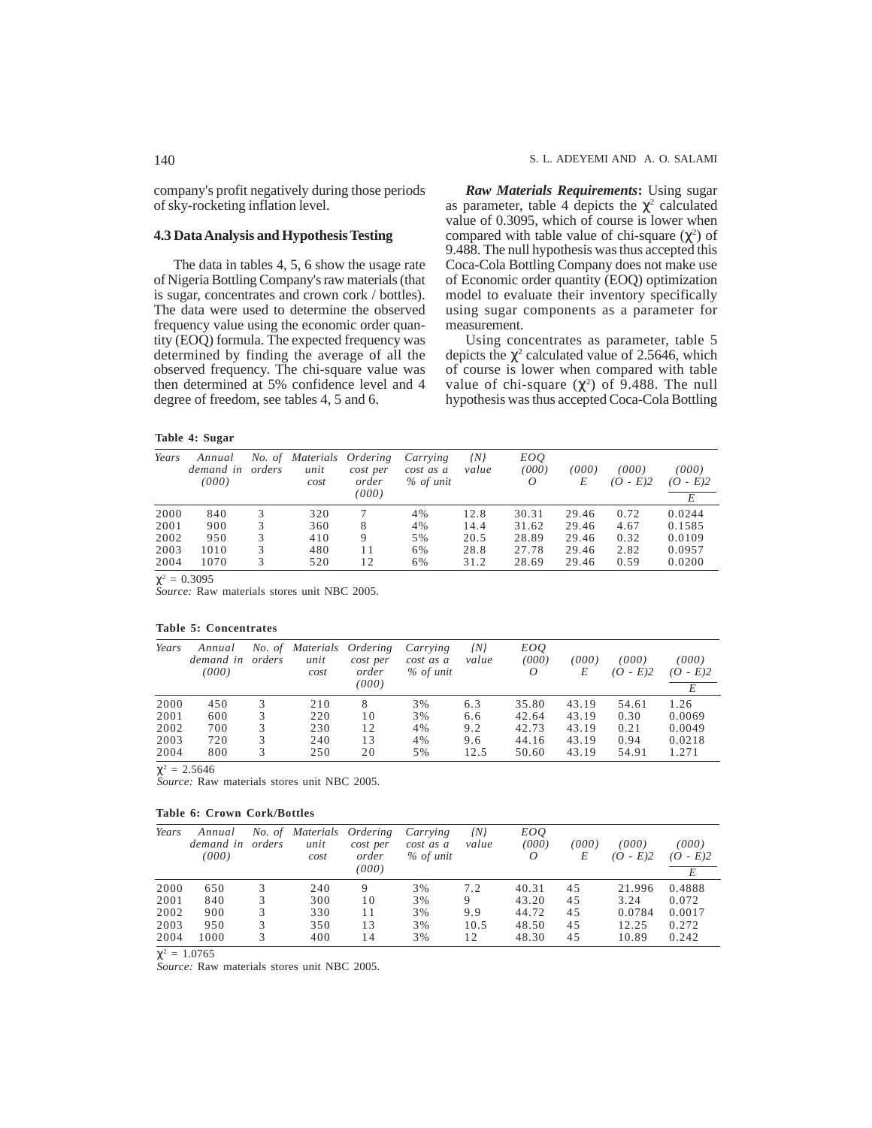company's profit negatively during those periods of sky-rocketing inflation level.

## **4.3 Data Analysis and Hypothesis Testing**

The data in tables 4, 5, 6 show the usage rate of Nigeria Bottling Company's raw materials (that is sugar, concentrates and crown cork / bottles). The data were used to determine the observed frequency value using the economic order quantity (EOQ) formula. The expected frequency was determined by finding the average of all the observed frequency. The chi-square value was then determined at 5% confidence level and 4 degree of freedom, see tables 4, 5 and 6.

*Raw Materials Requirements***:** Using sugar as parameter, table 4 depicts the  $\chi^2$  calculated value of 0.3095, which of course is lower when compared with table value of chi-square  $(\chi^2)$  of 9.488. The null hypothesis was thus accepted this Coca-Cola Bottling Company does not make use of Economic order quantity (EOQ) optimization model to evaluate their inventory specifically using sugar components as a parameter for measurement.

Using concentrates as parameter, table 5 depicts the  $\chi^2$  calculated value of 2.5646, which of course is lower when compared with table value of chi-square  $(\chi^2)$  of 9.488. The null hypothesis was thus accepted Coca-Cola Bottling

**Table 4: Sugar**

| Years                  | Annual<br>demand in<br>(000) | No. of<br>orders | Materials Ordering<br>unit<br>cost | cost per<br>order<br>(000) | Carrying<br>cost as a<br>% of unit | $\{N\}$<br>value | EOQ<br>(000)<br>0 | (000)<br>Е | (000)<br>$(O - E)2$ | (000)<br>$(O - E)2$<br>E |
|------------------------|------------------------------|------------------|------------------------------------|----------------------------|------------------------------------|------------------|-------------------|------------|---------------------|--------------------------|
| 2000                   | 840                          | 3                | 320                                |                            | 4%                                 | 12.8             | 30.31             | 29.46      | 0.72                | 0.0244                   |
| 2001                   | 900                          | 3                | 360                                | 8                          | 4%                                 | 14.4             | 31.62             | 29.46      | 4.67                | 0.1585                   |
| 2002                   | 950                          | 3                | 410                                | 9                          | 5%                                 | 20.5             | 28.89             | 29.46      | 0.32                | 0.0109                   |
| 2003                   | 1010                         | 3                | 480                                | 11                         | 6%                                 | 28.8             | 27.78             | 29.46      | 2.82                | 0.0957                   |
| 2004                   | 1070                         | 3                | 520                                | 12                         | 6%                                 | 31.2             | 28.69             | 29.46      | 0.59                | 0.0200                   |
| $\sim$ 0.000 $\approx$ |                              |                  |                                    |                            |                                    |                  |                   |            |                     |                          |

 $\chi^2 = 0.3095$ 

*Source:* Raw materials stores unit NBC 2005.

#### **Table 5: Concentrates**

| Years | Annual<br>demand in<br>(000) | orders | No. of Materials Ordering<br>unit<br>cost | cost per<br>order<br>(000) | Carrying<br>cost as a<br>% of unit | {N}<br>value | EOO<br>(000)<br>0 | (000)<br>E | (000)<br>$(O - E)2$ | (000)<br>$(O - E)2$<br>E |
|-------|------------------------------|--------|-------------------------------------------|----------------------------|------------------------------------|--------------|-------------------|------------|---------------------|--------------------------|
| 2000  | 450                          | 3      | 210                                       | 8                          | 3%                                 | 6.3          | 35.80             | 43.19      | 54.61               | 1.26                     |
| 2001  | 600                          | 3      | 220                                       | 10                         | 3%                                 | 6.6          | 42.64             | 43.19      | 0.30                | 0.0069                   |
| 2002  | 700                          | 3      | 230                                       | 12                         | 4%                                 | 9.2          | 42.73             | 43.19      | 0.21                | 0.0049                   |
| 2003  | 720                          | 3      | 240                                       | 13                         | 4%                                 | 9.6          | 44.16             | 43.19      | 0.94                | 0.0218                   |
| 2004  | 800                          | 3      | 250                                       | 20                         | 5%                                 | 12.5         | 50.60             | 43.19      | 54.91               | 1.271                    |

 $\chi^2 = 2.5646$ 

*Source:* Raw materials stores unit NBC 2005.

| <b>Table 6: Crown Cork/Bottles</b> |  |  |
|------------------------------------|--|--|
|------------------------------------|--|--|

| Years | Annual<br>demand in<br>(000) | orders        | No. of Materials Ordering<br>unit<br>cost | cost per<br>order<br>(000) | Carrying<br>cost as a<br>$%$ of unit | {N}<br>value | EOQ<br>(000)<br>$\overline{O}$ | (000)<br>E | (000)<br>$(O - E)2$ | (000)<br>$(O - E)2$<br>E |
|-------|------------------------------|---------------|-------------------------------------------|----------------------------|--------------------------------------|--------------|--------------------------------|------------|---------------------|--------------------------|
| 2000  | 650                          |               | 240                                       | 9                          | 3%                                   | 7.2          | 40.31                          | 45         | 21.996              | 0.4888                   |
| 2001  | 840                          | 3             | 300                                       | 10                         | 3%                                   | 9            | 43.20                          | 45         | 3.24                | 0.072                    |
| 2002  | 900                          | 3             | 330                                       | 11                         | 3%                                   | 9.9          | 44.72                          | 45         | 0.0784              | 0.0017                   |
| 2003  | 950                          | 3             | 350                                       | 13                         | 3%                                   | 10.5         | 48.50                          | 45         | 12.25               | 0.272                    |
| 2004  | 1000                         | $\mathcal{L}$ | 400                                       | 14                         | 3%                                   | 12           | 48.30                          | 45         | 10.89               | 0.242                    |

 $\chi^2 = 1.0765$ 

*Source:* Raw materials stores unit NBC 2005.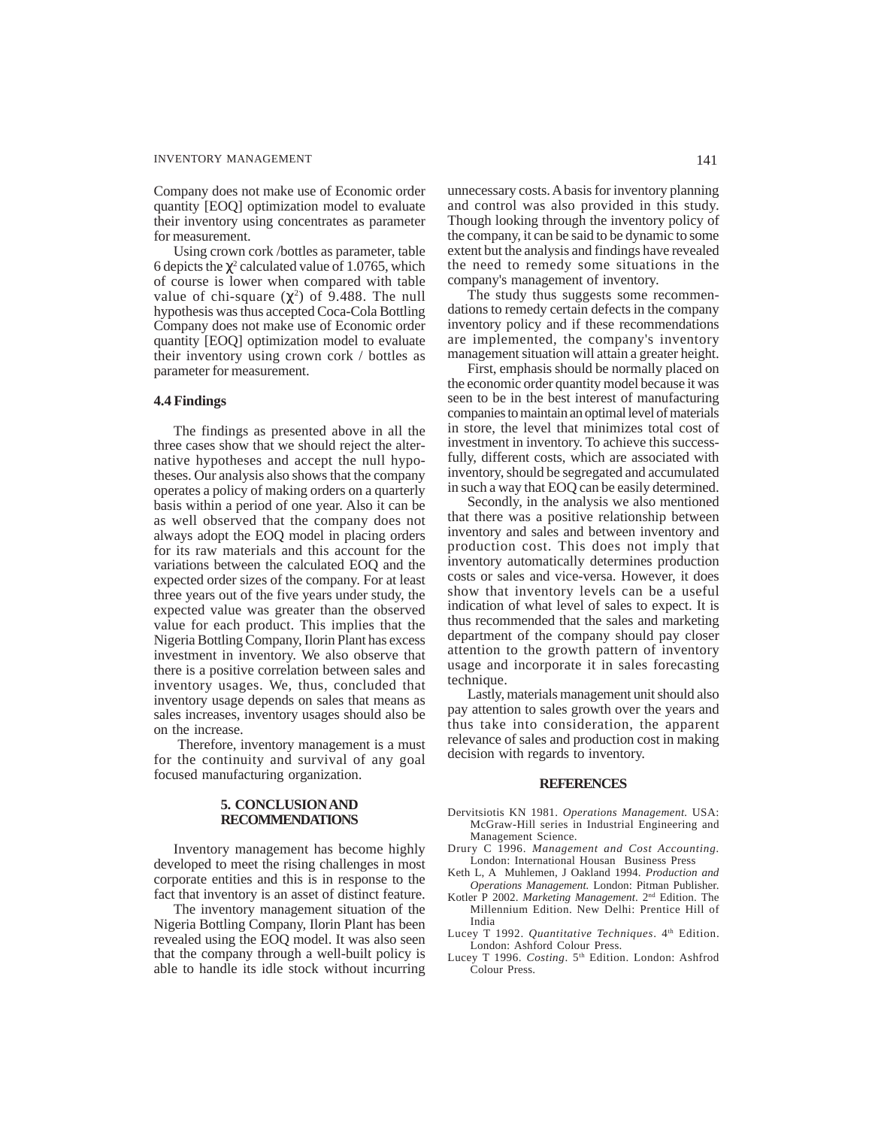#### INVENTORY MANAGEMENT 141

Company does not make use of Economic order quantity [EOQ] optimization model to evaluate their inventory using concentrates as parameter for measurement.

Using crown cork /bottles as parameter, table 6 depicts the  $\chi^2$  calculated value of 1.0765, which of course is lower when compared with table value of chi-square  $(\chi^2)$  of 9.488. The null hypothesis was thus accepted Coca-Cola Bottling Company does not make use of Economic order quantity [EOQ] optimization model to evaluate their inventory using crown cork / bottles as parameter for measurement.

#### **4.4 Findings**

The findings as presented above in all the three cases show that we should reject the alternative hypotheses and accept the null hypotheses. Our analysis also shows that the company operates a policy of making orders on a quarterly basis within a period of one year. Also it can be as well observed that the company does not always adopt the EOQ model in placing orders for its raw materials and this account for the variations between the calculated EOQ and the expected order sizes of the company. For at least three years out of the five years under study, the expected value was greater than the observed value for each product. This implies that the Nigeria Bottling Company, Ilorin Plant has excess investment in inventory. We also observe that there is a positive correlation between sales and inventory usages. We, thus, concluded that inventory usage depends on sales that means as sales increases, inventory usages should also be on the increase.

 Therefore, inventory management is a must for the continuity and survival of any goal focused manufacturing organization.

## **5. CONCLUSION AND RECOMMENDATIONS**

Inventory management has become highly developed to meet the rising challenges in most corporate entities and this is in response to the fact that inventory is an asset of distinct feature.

The inventory management situation of the Nigeria Bottling Company, Ilorin Plant has been revealed using the EOQ model. It was also seen that the company through a well-built policy is able to handle its idle stock without incurring

unnecessary costs. A basis for inventory planning and control was also provided in this study. Though looking through the inventory policy of the company, it can be said to be dynamic to some extent but the analysis and findings have revealed the need to remedy some situations in the company's management of inventory.

The study thus suggests some recommendations to remedy certain defects in the company inventory policy and if these recommendations are implemented, the company's inventory management situation will attain a greater height.

First, emphasis should be normally placed on the economic order quantity model because it was seen to be in the best interest of manufacturing companies to maintain an optimal level of materials in store, the level that minimizes total cost of investment in inventory. To achieve this successfully, different costs, which are associated with inventory, should be segregated and accumulated in such a way that EOQ can be easily determined.

Secondly, in the analysis we also mentioned that there was a positive relationship between inventory and sales and between inventory and production cost. This does not imply that inventory automatically determines production costs or sales and vice-versa. However, it does show that inventory levels can be a useful indication of what level of sales to expect. It is thus recommended that the sales and marketing department of the company should pay closer attention to the growth pattern of inventory usage and incorporate it in sales forecasting technique.

Lastly, materials management unit should also pay attention to sales growth over the years and thus take into consideration, the apparent relevance of sales and production cost in making decision with regards to inventory.

#### **REFERENCES**

- Dervitsiotis KN 1981. *Operations Management.* USA: McGraw-Hill series in Industrial Engineering and Management Science.
- Drury C 1996. *Management and Cost Accounting.* London: International Housan Business Press
- Keth L, A Muhlemen, J Oakland 1994. *Production and Operations Management.* London: Pitman Publisher.
- Kotler P 2002. *Marketing Management*. 2nd Edition. The Millennium Edition. New Delhi: Prentice Hill of India
- Lucey T 1992. *Quantitative Techniques*. 4<sup>th</sup> Edition. London: Ashford Colour Press.
- Lucey T 1996. *Costing*. 5<sup>th</sup> Edition. London: Ashfrod Colour Press.